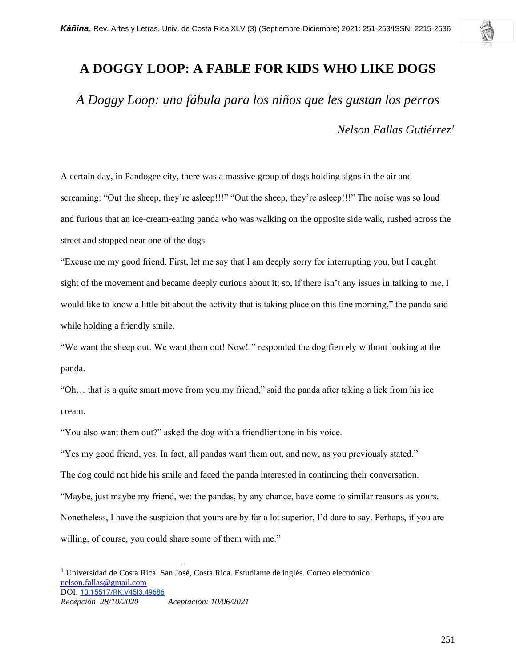## **A DOGGY LOOP: A FABLE FOR KIDS WHO LIKE DOGS**

*A Doggy Loop: una fábula para los niños que les gustan los perros*

*Nelson Fallas Gutiérrez<sup>1</sup>*

A certain day, in Pandogee city, there was a massive group of dogs holding signs in the air and screaming: "Out the sheep, they're asleep!!!" "Out the sheep, they're asleep!!!" The noise was so loud and furious that an ice-cream-eating panda who was walking on the opposite side walk, rushed across the street and stopped near one of the dogs.

"Excuse me my good friend. First, let me say that I am deeply sorry for interrupting you, but I caught sight of the movement and became deeply curious about it; so, if there isn't any issues in talking to me, I would like to know a little bit about the activity that is taking place on this fine morning," the panda said while holding a friendly smile.

"We want the sheep out. We want them out! Now!!" responded the dog fiercely without looking at the panda.

"Oh… that is a quite smart move from you my friend," said the panda after taking a lick from his ice cream.

"You also want them out?" asked the dog with a friendlier tone in his voice.

"Yes my good friend, yes. In fact, all pandas want them out, and now, as you previously stated." The dog could not hide his smile and faced the panda interested in continuing their conversation. "Maybe, just maybe my friend, we: the pandas, by any chance, have come to similar reasons as yours. Nonetheless, I have the suspicion that yours are by far a lot superior, I'd dare to say. Perhaps, if you are willing, of course, you could share some of them with me."

<sup>1</sup> Universidad de Costa Rica. San José, Costa Rica. Estudiante de inglés. Correo electrónico: [nelson.fallas@gmail.com](mailto:nelson.fallas@gmail.com) DOI: [10.15517/RK.V45I3.49686](https://doi.org/10.15517/rk.v45i3.49686) *Recepción 28/10/2020 Aceptación: 10/06/2021*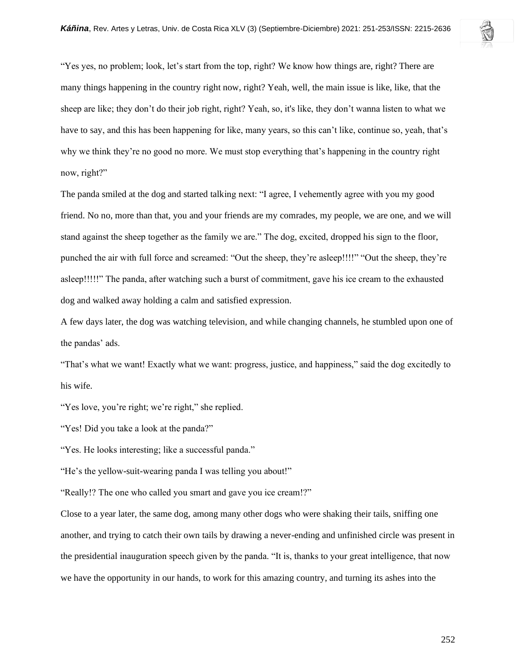"Yes yes, no problem; look, let's start from the top, right? We know how things are, right? There are many things happening in the country right now, right? Yeah, well, the main issue is like, like, that the sheep are like; they don't do their job right, right? Yeah, so, it's like, they don't wanna listen to what we have to say, and this has been happening for like, many years, so this can't like, continue so, yeah, that's why we think they're no good no more. We must stop everything that's happening in the country right now, right?"

The panda smiled at the dog and started talking next: "I agree, I vehemently agree with you my good friend. No no, more than that, you and your friends are my comrades, my people, we are one, and we will stand against the sheep together as the family we are." The dog, excited, dropped his sign to the floor, punched the air with full force and screamed: "Out the sheep, they're asleep!!!!" "Out the sheep, they're asleep!!!!!" The panda, after watching such a burst of commitment, gave his ice cream to the exhausted dog and walked away holding a calm and satisfied expression.

A few days later, the dog was watching television, and while changing channels, he stumbled upon one of the pandas' ads.

"That's what we want! Exactly what we want: progress, justice, and happiness," said the dog excitedly to his wife.

"Yes love, you're right; we're right," she replied.

"Yes! Did you take a look at the panda?"

"Yes. He looks interesting; like a successful panda."

"He's the yellow-suit-wearing panda I was telling you about!"

"Really!? The one who called you smart and gave you ice cream!?"

Close to a year later, the same dog, among many other dogs who were shaking their tails, sniffing one another, and trying to catch their own tails by drawing a never-ending and unfinished circle was present in the presidential inauguration speech given by the panda. "It is, thanks to your great intelligence, that now we have the opportunity in our hands, to work for this amazing country, and turning its ashes into the